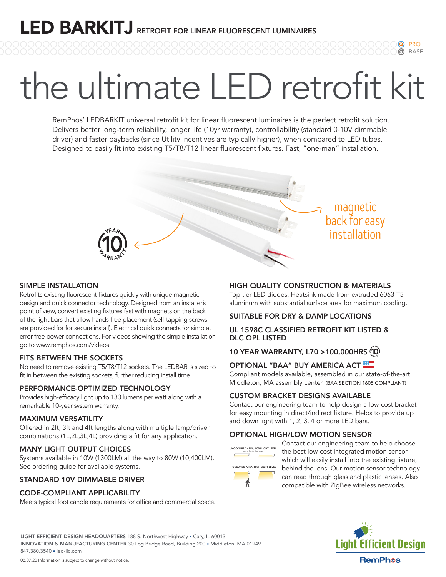# the ultimate LED retrofit kit

RemPhos' LEDBARKIT universal retrofit kit for linear fluorescent luminaires is the perfect retrofit solution. Delivers better long-term reliability, longer life (10yr warranty), controllability (standard 0-10V dimmable driver) and faster paybacks (since Utility incentives are typically higher), when compared to LED tubes. Designed to easily fit into existing T5/T8/T12 linear fluorescent fixtures. Fast, "one-man" installation.

### back for easy installation

magnetic

PRO BASE

#### SIMPLE INSTALLATION

Retrofits existing fluorescent fixtures quickly with unique magnetic design and quick connector technology. Designed from an installer's point of view, convert existing fixtures fast with magnets on the back of the light bars that allow hands-free placement (self-tapping screws are provided for for secure install). Electrical quick connects for simple, error-free power connections. For videos showing the simple installation go to www.remphos.com/videos

#### FITS BETWEEN THE SOCKETS

No need to remove existing T5/T8/T12 sockets. The LEDBAR is sized to fit in between the existing sockets, further reducing install time.

#### PERFORMANCE-OPTIMIZED TECHNOLOGY

Provides high-efficacy light up to 130 lumens per watt along with a remarkable 10-year system warranty.

#### MAXIMUM VERSATILITY

Offered in 2ft, 3ft and 4ft lengths along with multiple lamp/driver combinations (1L,2L,3L,4L) providing a fit for any application.

#### MANY LIGHT OUTPUT CHOICES

Systems available in 10W (1300LM) all the way to 80W (10,400LM). See ordering guide for available systems.

#### STANDARD 10V DIMMABLE DRIVER

#### CODE-COMPLIANT APPLICABILITY

Meets typical foot candle requirements for office and commercial space.

#### HIGH QUALITY CONSTRUCTION & MATERIALS

Top tier LED diodes. Heatsink made from extruded 6063 T5 aluminum with substantial surface area for maximum cooling.

#### SUITABLE FOR DRY & DAMP LOCATIONS

#### UL 1598C CLASSIFIED RETROFIT KIT LISTED & DLC QPL LISTED

#### 10 YEAR WARRANTY, L70 >100,000HRS

#### OPTIONAL "BAA" BUY AMERICA ACT

Compliant models available, assembled in our state-of-the-art Middleton, MA assembly center. (BAA SECTION 1605 COMPLIANT)

#### CUSTOM BRACKET DESIGNS AVAILABLE

Contact our engineering team to help design a low-cost bracket for easy mounting in direct/indirect fixture. Helps to provide up and down light with 1, 2, 3, 4 or more LED bars.

#### OPTIONAL HIGH/LOW MOTION SENSOR



Contact our engineering team to help choose the best low-cost integrated motion sensor which will easily install into the existing fixture, behind the lens. Our motion sensor technology can read through glass and plastic lenses. Also compatible with ZigBee wireless networks.



INNOVATION & MANUFACTURING CENTER 30 Log Bridge Road, Building 200 • Middleton, MA 01949 847.380.3540 • led-llc.com

LIGHT EFFICIENT DESIGN HEADQUARTERS 188 S. Northwest Highway • Cary, IL 60013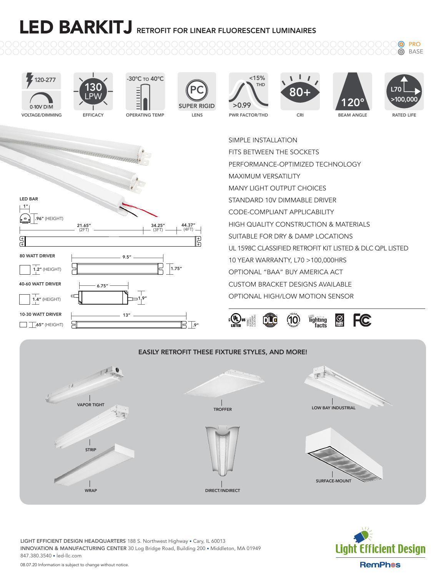ெ PRO **@** BASE







LIGHT EFFICIENT DESIGN HEADQUARTERS 188 S. Northwest Highway • Cary, IL 60013 INNOVATION & MANUFACTURING CENTER 30 Log Bridge Road, Building 200 • Middleton, MA 01949 847.380.3540 • led-llc.com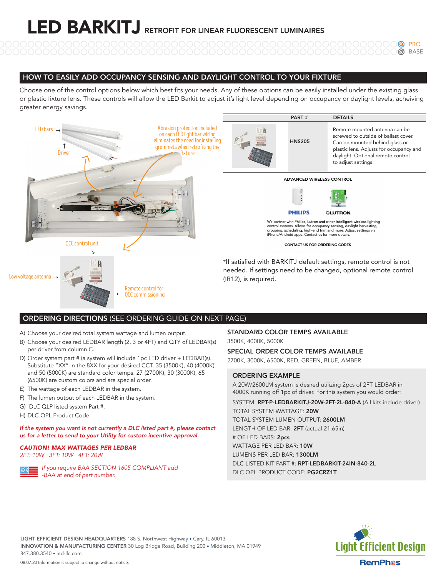PRO **@** BASE

#### HOW TO EASILY ADD OCCUPANCY SENSING AND DAYLIGHT CONTROL TO YOUR FIXTURE

Choose one of the control options below which best fits your needs. Any of these options can be easily installed under the existing glass or plastic fixture lens. These controls will allow the LED Barkit to adjust it's light level depending on occupancy or daylight levels, acheiving greater energy savings.



#### ORDERING DIRECTIONS (SEE ORDERING GUIDE ON NEXT PAGE)

- A) Choose your desired total system wattage and lumen output.
- B) Choose your desired LEDBAR length (2, 3 or 4FT) and QTY of LEDBAR(s) per driver from column C.
- D) Order system part # (a system will include 1pc LED driver + LEDBAR(s). Substitute "XX" in the 8XX for your desired CCT. 35 (3500K), 40 (4000K) and 50 (5000K) are standard color temps. 27 (2700K), 30 (3000K), 65 (6500K) are custom colors and are special order.
- E) The wattage of each LEDBAR in the system.
- F) The lumen output of each LEDBAR in the system.
- G) DLC QLP listed system Part #.
- H) DLC QPL Product Code.

#### *If the system you want is not currently a DLC listed part #, please contact us for a letter to send to your Utility for custom incentive approval.*

#### *CAUTION! MAX WATTAGES PER LEDBAR*

*2FT: 10W 3FT: 10W 4FT: 20W*



#### STANDARD COLOR TEMPS AVAILABLE 3500K, 4000K, 5000K

SPECIAL ORDER COLOR TEMPS AVAILABLE

2700K, 3000K, 6500K, RED, GREEN, BLUE, AMBER

#### ORDERING EXAMPLE

A 20W/2600LM system is desired utilizing 2pcs of 2FT LEDBAR in 4000K running off 1pc of driver. For this system you would order:

SYSTEM: RPT-P-LEDBARKITJ-20W-2FT-2L-840-A (All kits include driver) TOTAL SYSTEM WATTAGE: 20W TOTAL SYSTEM LUMEN OUTPUT: 2600LM LENGTH OF LED BAR: 2FT (actual 21.65in) # OF LED BARS: 2pcs WATTAGE PER LED BAR: 10W LUMENS PER LED BAR: 1300LM DLC LISTED KIT PART #: RPT-LEDBARKIT-24IN-840-2L

DLC QPL PRODUCT CODE: PG2CRZ1T



LIGHT EFFICIENT DESIGN HEADQUARTERS 188 S. Northwest Highway • Cary, IL 60013 INNOVATION & MANUFACTURING CENTER 30 Log Bridge Road, Building 200 • Middleton, MA 01949 847.380.3540 • led-llc.com